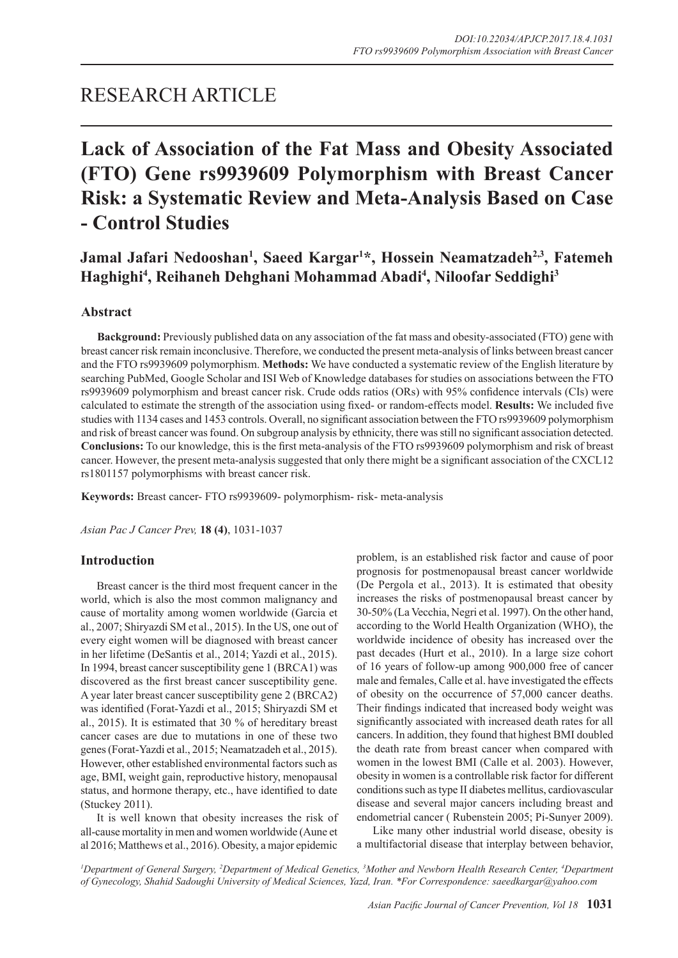# RESEARCH ARTICLE

# **Lack of Association of the Fat Mass and Obesity Associated (FTO) Gene rs9939609 Polymorphism with Breast Cancer Risk: a Systematic Review and Meta-Analysis Based on Case - Control Studies**

Jamal Jafari Nedooshan<sup>1</sup>, Saeed Kargar<sup>1\*</sup>, Hossein Neamatzadeh<sup>2,3</sup>, Fatemeh **Haghighi4 , Reihaneh Dehghani Mohammad Abadi4 , Niloofar Seddighi3**

# **Abstract**

**Background:** Previously published data on any association of the fat mass and obesity-associated (FTO) gene with breast cancer risk remain inconclusive. Therefore, we conducted the present meta-analysis of links between breast cancer and the FTO rs9939609 polymorphism. **Methods:** We have conducted a systematic review of the English literature by searching PubMed, Google Scholar and ISI Web of Knowledge databases for studies on associations between the FTO rs9939609 polymorphism and breast cancer risk. Crude odds ratios (ORs) with 95% confidence intervals (CIs) were calculated to estimate the strength of the association using fixed- or random-effects model. **Results:** We included five studies with 1134 cases and 1453 controls. Overall, no significant association between the FTO rs9939609 polymorphism and risk of breast cancer was found. On subgroup analysis by ethnicity, there was still no significant association detected. **Conclusions:** To our knowledge, this is the first meta-analysis of the FTO rs9939609 polymorphism and risk of breast cancer. However, the present meta-analysis suggested that only there might be a significant association of the CXCL12 rs1801157 polymorphisms with breast cancer risk.

**Keywords:** Breast cancer- FTO rs9939609- polymorphism- risk- meta-analysis

*Asian Pac J Cancer Prev,* **18 (4)**, 1031-1037

# **Introduction**

Breast cancer is the third most frequent cancer in the world, which is also the most common malignancy and cause of mortality among women worldwide (Garcia et al., 2007; Shiryazdi SM et al., 2015). In the US, one out of every eight women will be diagnosed with breast cancer in her lifetime (DeSantis et al., 2014; Yazdi et al., 2015). In 1994, breast cancer susceptibility gene 1 (BRCA1) was discovered as the first breast cancer susceptibility gene. A year later breast cancer susceptibility gene 2 (BRCA2) was identified (Forat-Yazdi et al., 2015; Shiryazdi SM et al., 2015). It is estimated that 30 % of hereditary breast cancer cases are due to mutations in one of these two genes (Forat-Yazdi et al., 2015; Neamatzadeh et al., 2015). However, other established environmental factors such as age, BMI, weight gain, reproductive history, menopausal status, and hormone therapy, etc., have identified to date (Stuckey 2011).

It is well known that obesity increases the risk of all-cause mortality in men and women worldwide (Aune et al 2016; Matthews et al., 2016). Obesity, a major epidemic problem, is an established risk factor and cause of poor prognosis for postmenopausal breast cancer worldwide (De Pergola et al., 2013). It is estimated that obesity increases the risks of postmenopausal breast cancer by 30-50% (La Vecchia, Negri et al. 1997). On the other hand, according to the World Health Organization (WHO), the worldwide incidence of obesity has increased over the past decades (Hurt et al., 2010). In a large size cohort of 16 years of follow-up among 900,000 free of cancer male and females, Calle et al. have investigated the effects of obesity on the occurrence of 57,000 cancer deaths. Their findings indicated that increased body weight was significantly associated with increased death rates for all cancers. In addition, they found that highest BMI doubled the death rate from breast cancer when compared with women in the lowest BMI (Calle et al. 2003). However, obesity in women is a controllable risk factor for different conditions such as type II diabetes mellitus, cardiovascular disease and several major cancers including breast and endometrial cancer ( Rubenstein 2005; Pi-Sunyer 2009).

Like many other industrial world disease, obesity is a multifactorial disease that interplay between behavior,

<sup>*I*</sup> Department of General Surgery, <sup>2</sup>Department of Medical Genetics, <sup>3</sup>Mother and Newborn Health Research Center, <sup>4</sup>Department *of Gynecology, Shahid Sadoughi University of Medical Sciences, Yazd, Iran. \*For Correspondence: saeedkargar@yahoo.com*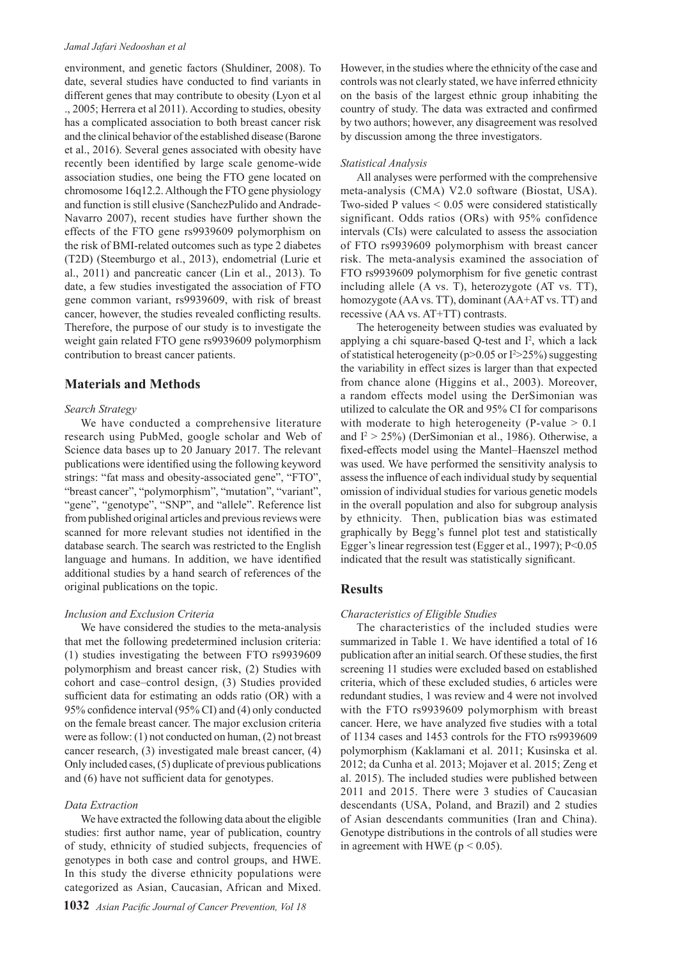#### *Jamal Jafari Nedooshan et al*

environment, and genetic factors (Shuldiner, 2008). To date, several studies have conducted to find variants in different genes that may contribute to obesity (Lyon et al ., 2005; Herrera et al 2011). According to studies, obesity has a complicated association to both breast cancer risk and the clinical behavior of the established disease (Barone et al., 2016). Several genes associated with obesity have recently been identified by large scale genome-wide association studies, one being the FTO gene located on chromosome 16q12.2. Although the FTO gene physiology and function is still elusive (SanchezPulido and Andrade-Navarro 2007), recent studies have further shown the effects of the FTO gene rs9939609 polymorphism on the risk of BMI-related outcomes such as type 2 diabetes (T2D) (Steemburgo et al., 2013), endometrial (Lurie et al., 2011) and pancreatic cancer (Lin et al., 2013). To date, a few studies investigated the association of FTO gene common variant, rs9939609, with risk of breast cancer, however, the studies revealed conflicting results. Therefore, the purpose of our study is to investigate the weight gain related FTO gene rs9939609 polymorphism contribution to breast cancer patients.

## **Materials and Methods**

## *Search Strategy*

We have conducted a comprehensive literature research using PubMed, google scholar and Web of Science data bases up to 20 January 2017. The relevant publications were identified using the following keyword strings: "fat mass and obesity-associated gene", "FTO", "breast cancer", "polymorphism", "mutation", "variant", "gene", "genotype", "SNP", and "allele". Reference list from published original articles and previous reviews were scanned for more relevant studies not identified in the database search. The search was restricted to the English language and humans. In addition, we have identified additional studies by a hand search of references of the original publications on the topic.

## *Inclusion and Exclusion Criteria*

We have considered the studies to the meta-analysis that met the following predetermined inclusion criteria: (1) studies investigating the between FTO rs9939609 polymorphism and breast cancer risk, (2) Studies with cohort and case–control design, (3) Studies provided sufficient data for estimating an odds ratio (OR) with a 95% confidence interval (95% CI) and (4) only conducted on the female breast cancer. The major exclusion criteria were as follow: (1) not conducted on human, (2) not breast cancer research, (3) investigated male breast cancer, (4) Only included cases, (5) duplicate of previous publications and (6) have not sufficient data for genotypes.

### *Data Extraction*

We have extracted the following data about the eligible studies: first author name, year of publication, country of study, ethnicity of studied subjects, frequencies of genotypes in both case and control groups, and HWE. In this study the diverse ethnicity populations were categorized as Asian, Caucasian, African and Mixed.

However, in the studies where the ethnicity of the case and controls was not clearly stated, we have inferred ethnicity on the basis of the largest ethnic group inhabiting the country of study. The data was extracted and confirmed by two authors; however, any disagreement was resolved by discussion among the three investigators.

### *Statistical Analysis*

All analyses were performed with the comprehensive meta-analysis (CMA) V2.0 software (Biostat, USA). Two-sided P values < 0.05 were considered statistically significant. Odds ratios (ORs) with 95% confidence intervals (CIs) were calculated to assess the association of FTO rs9939609 polymorphism with breast cancer risk. The meta-analysis examined the association of FTO rs9939609 polymorphism for five genetic contrast including allele (A vs. T), heterozygote (AT vs. TT), homozygote (AA vs. TT), dominant (AA+AT vs. TT) and recessive (AA vs. AT+TT) contrasts.

The heterogeneity between studies was evaluated by applying a chi square-based Q-test and  $I^2$ , which a lack of statistical heterogeneity ( $p$ >0.05 or I<sup>2</sup>>25%) suggesting the variability in effect sizes is larger than that expected from chance alone (Higgins et al., 2003). Moreover, a random effects model using the DerSimonian was utilized to calculate the OR and 95% CI for comparisons with moderate to high heterogeneity (P-value  $> 0.1$ ) and  $I^2 > 25\%$ ) (DerSimonian et al., 1986). Otherwise, a fixed-effects model using the Mantel–Haenszel method was used. We have performed the sensitivity analysis to assess the influence of each individual study by sequential omission of individual studies for various genetic models in the overall population and also for subgroup analysis by ethnicity. Then, publication bias was estimated graphically by Begg's funnel plot test and statistically Egger's linear regression test (Egger et al., 1997); P<0.05 indicated that the result was statistically significant.

# **Results**

### *Characteristics of Eligible Studies*

The characteristics of the included studies were summarized in Table 1. We have identified a total of 16 publication after an initial search. Of these studies, the first screening 11 studies were excluded based on established criteria, which of these excluded studies, 6 articles were redundant studies, 1 was review and 4 were not involved with the FTO rs9939609 polymorphism with breast cancer. Here, we have analyzed five studies with a total of 1134 cases and 1453 controls for the FTO rs9939609 polymorphism (Kaklamani et al. 2011; Kusinska et al. 2012; da Cunha et al. 2013; Mojaver et al. 2015; Zeng et al. 2015). The included studies were published between 2011 and 2015. There were 3 studies of Caucasian descendants (USA, Poland, and Brazil) and 2 studies of Asian descendants communities (Iran and China). Genotype distributions in the controls of all studies were in agreement with HWE ( $p < 0.05$ ).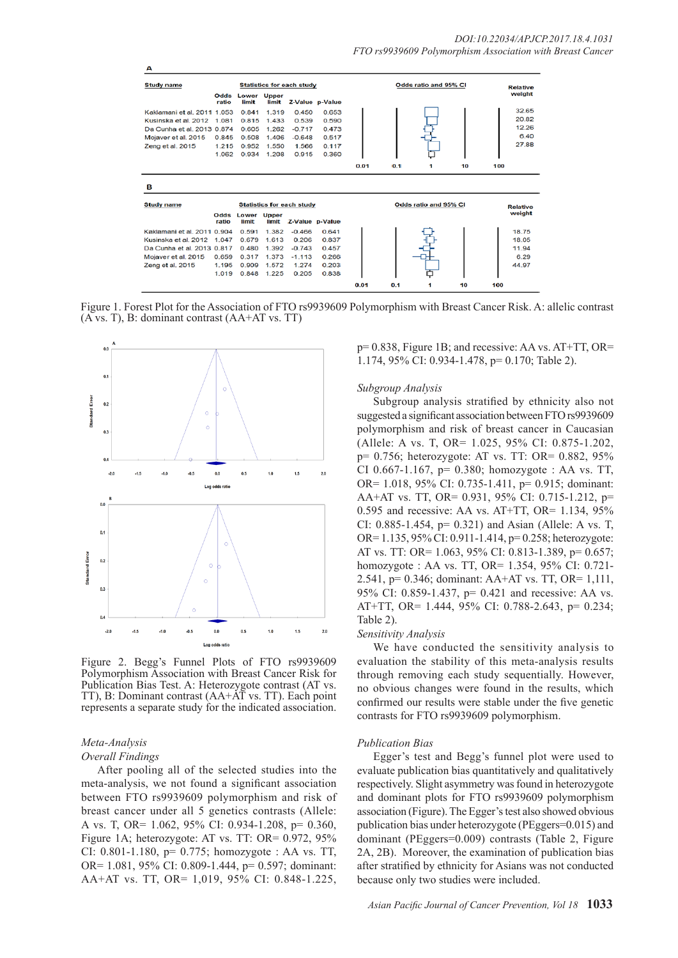| <b>Study name</b>           |               |                |                       | <b>Statistics for each study</b> |                 |      |     | Odds ratio and 95% CI |    | <b>Relative</b> |
|-----------------------------|---------------|----------------|-----------------------|----------------------------------|-----------------|------|-----|-----------------------|----|-----------------|
|                             | Odds<br>ratio | Lower<br>limit | Upper<br>limit        |                                  | Z-Value p-Value |      |     |                       |    | weight          |
| Kaklamani et al. 2011 1.053 |               | 0.841          | 1.319                 | 0.450                            | 0.653           |      |     |                       |    | 32.65           |
| Kusinska et al. 2012        | 1.081         | 0.815          | 1.433                 | 0.539                            | 0.590           |      |     |                       |    | 20.82           |
| Da Cunha et al. 2013 0.874  |               | 0.605          | 1.262                 | $-0.717$                         | 0.473           |      |     |                       |    | 12.26           |
| Mojaver et al. 2015         | 0.845         | 0.508          | 1.406                 | $-0.648$                         | 0.517           |      |     |                       |    | 6.40            |
| Zeng et al. 2015            | 1.215         | 0.952          | 1.550                 | 1.566                            | 0.117           |      |     |                       |    | 27.88           |
|                             | 1.062         | 0.934          | 1.208                 | 0.915                            | 0.360           |      |     |                       |    |                 |
|                             |               |                |                       |                                  |                 | 0.01 | 0.1 | 1                     | 10 | 100             |
| в                           |               |                |                       |                                  |                 |      |     |                       |    |                 |
| <b>Study name</b>           |               |                |                       | <b>Statistics for each study</b> |                 |      |     | Odds ratio and 95% CI |    | <b>Relative</b> |
|                             | Odds<br>ratio | Lower<br>limit | <b>Upper</b><br>limit | Z-Value p-Value                  |                 |      |     |                       |    | weight          |
| Kaklamani et al. 2011 0.904 |               | 0.591          | 1.382                 | $-0.466$                         | 0.641           |      |     |                       |    | 18.75           |
| Kusinska et al. 2012 1.047  |               | 0.679          | 1.613                 | 0.206                            | 0.837           |      |     |                       |    | 18.05           |
| Da Cunha et al. 2013 0.817  |               | 0.480          | 1.392                 | $-0.743$                         | 0.457           |      |     |                       |    | 11.94           |
| Mojaver et al. 2015         | 0.659         | 0.317          | 1.373                 | $-1.113$                         | 0.266           |      |     |                       |    | 6.29            |
| Zeng et al. 2015            | 1.195         | 0.909          | 1.572                 | 1.274                            | 0.203           |      |     |                       |    | 44.97           |
|                             | 1.019         | 0.848          | 1.225                 | 0.205                            | 0.838           |      |     |                       |    |                 |
|                             |               |                |                       |                                  |                 | 0.01 | 0.1 | 1                     | 10 | 100             |

Figure 1. Forest Plot for the Association of FTO rs9939609 Polymorphism with Breast Cancer Risk. A: allelic contrast (A vs. T), B: dominant contrast (AA+AT vs. TT)



Figure 2. Begg's Funnel Plots of FTO rs9939609 Polymorphism Association with Breast Cancer Risk for Publication Bias Test. A: Heterozygote contrast (AT vs. TT), B: Dominant contrast (AA+AT vs. TT). Each point represents a separate study for the indicated association.

# *Meta-Analysis*

## *Overall Findings*

After pooling all of the selected studies into the meta-analysis, we not found a significant association between FTO rs9939609 polymorphism and risk of breast cancer under all 5 genetics contrasts (Allele: A vs. T, OR= 1.062, 95% CI: 0.934-1.208, p= 0.360, Figure 1A; heterozygote: AT vs. TT: OR= 0.972, 95% CI: 0.801-1.180, p= 0.775; homozygote : AA vs. TT, OR= 1.081, 95% CI: 0.809-1.444, p= 0.597; dominant: AA+AT vs. TT, OR= 1,019, 95% CI: 0.848-1.225,

p= 0.838, Figure 1B; and recessive: AA vs. AT+TT, OR= 1.174, 95% CI: 0.934-1.478, p= 0.170; Table 2).

#### *Subgroup Analysis*

Subgroup analysis stratified by ethnicity also not suggested a significant association between FTO rs9939609 polymorphism and risk of breast cancer in Caucasian (Allele: A vs. T, OR= 1.025, 95% CI: 0.875-1.202, p= 0.756; heterozygote: AT vs. TT: OR= 0.882, 95% CI 0.667-1.167,  $p = 0.380$ ; homozygote : AA vs. TT, OR= 1.018, 95% CI: 0.735-1.411, p= 0.915; dominant: AA+AT vs. TT, OR= 0.931, 95% CI: 0.715-1.212, p= 0.595 and recessive: AA vs. AT+TT, OR=  $1.134$ ,  $95\%$ CI: 0.885-1.454, p= 0.321) and Asian (Allele: A vs. T, OR= 1.135, 95% CI: 0.911-1.414, p= 0.258; heterozygote: AT vs. TT: OR= 1.063, 95% CI: 0.813-1.389, p= 0.657; homozygote : AA vs. TT, OR= 1.354, 95% CI: 0.721- 2.541, p= 0.346; dominant: AA+AT vs. TT, OR= 1,111, 95% CI: 0.859-1.437, p= 0.421 and recessive: AA vs. AT+TT, OR= 1.444, 95% CI: 0.788-2.643, p= 0.234; Table 2).

#### *Sensitivity Analysis*

We have conducted the sensitivity analysis to evaluation the stability of this meta-analysis results through removing each study sequentially. However, no obvious changes were found in the results, which confirmed our results were stable under the five genetic contrasts for FTO rs9939609 polymorphism.

#### *Publication Bias*

Egger's test and Begg's funnel plot were used to evaluate publication bias quantitatively and qualitatively respectively. Slight asymmetry was found in heterozygote and dominant plots for FTO rs9939609 polymorphism association (Figure). The Egger's test also showed obvious publication bias under heterozygote (PEggers=0.015) and dominant (PEggers=0.009) contrasts (Table 2, Figure 2A, 2B). Moreover, the examination of publication bias after stratified by ethnicity for Asians was not conducted because only two studies were included.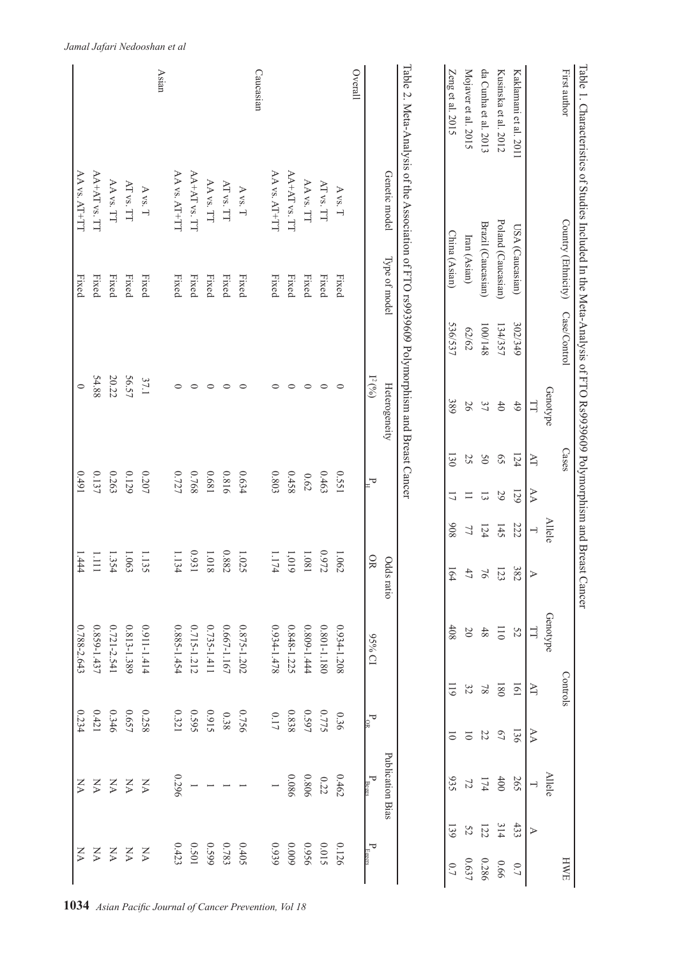| Table 1. Characteristics of Strudies Included In the Meta-Arakiysis of FTO Rs99399609 Polymorphism and Breast Cancer |                          |                                  |         |                                 |                             |                           |                          |                  |                 |                  |                          |                           |     |                             |
|----------------------------------------------------------------------------------------------------------------------|--------------------------|----------------------------------|---------|---------------------------------|-----------------------------|---------------------------|--------------------------|------------------|-----------------|------------------|--------------------------|---------------------------|-----|-----------------------------|
| First author                                                                                                         |                          | Country (Ethnicity) Case/Control |         |                                 | Cases                       |                           |                          |                  |                 | Controls         |                          |                           |     | HWE                         |
|                                                                                                                      |                          |                                  |         | Genotype                        |                             |                           | <b>Allele</b>            |                  | Genotype        |                  |                          | <b>Allele</b>             |     |                             |
|                                                                                                                      |                          |                                  |         | 긥                               | $\geq$                      | AA                        | $\overline{\phantom{0}}$ | $\triangleright$ | $\Box$          | AT               | $\forall$                | $\overline{\phantom{0}}$  | ⋗   |                             |
| Kaklamani et al. 2011                                                                                                |                          | USA (Caucasian)                  | 302/349 | 6 <sup>†</sup>                  | 124                         | 129                       | 222                      | 382              | 52              | 101              | 136                      | 265                       | 433 | 0.7                         |
| Kusinska et al. 2012                                                                                                 |                          | Poland (Caucasian)               | 134/357 | $40$                            | $\mathcal{S}^{\mathcal{S}}$ | 29                        | 145                      | 123              | $\overline{0}$  | 180              | $\sqrt{0}$               | 400                       | 314 | 99.0                        |
| da Cunha et al. 2013                                                                                                 |                          | Brazil (Caucasian)               | 100/148 | 37                              | 50                          | $\Xi$                     | 124                      | $\overline{76}$  | $48\,$          | $8\sqrt{ }$      |                          | $174$                     | 122 | 0.286                       |
| Mojaver et al. 2015                                                                                                  |                          | Iran (Asian)                     | 62/62   | 56                              | 25                          | $\equiv$                  | 77                       | $47\,$           | $20\,$          | 32               | $22\,$ $\,$              | $\overline{2}$            | 52  | 0.637                       |
| Zeng et al. 2015                                                                                                     |                          | China (Asian)                    | 536/537 | 389                             | 130                         | $\overline{L}$            | 806                      | 164              | 408             | $\overline{611}$ | $\overline{0}$           | 935                       | 139 | $\sim 0$                    |
| Table 2. Meta-Analysis of the Association of FTO rs9939609 Polymorphism and Breast Cancer                            |                          |                                  |         |                                 |                             |                           |                          |                  |                 |                  |                          |                           |     |                             |
|                                                                                                                      | Genetic model            | Type of model                    |         | $\Gamma^{(0)}$<br>Heterogeneity |                             | $\mathsf{P}_{\mathbb{H}}$ |                          | OR<br>Odds ratio | IO %S6          |                  |                          | Publication Bias          |     |                             |
| Overall                                                                                                              |                          |                                  |         |                                 |                             |                           |                          |                  |                 |                  | $\mathbf{P}_{\text{OR}}$ | $\rm P_{\rm Benzs}$       |     | $P_{\text{Egers}}$          |
|                                                                                                                      | $\Lambda$ vs. $T$        | Fixed                            |         | $\circ$                         |                             | 1550                      |                          | $1.062\,$        | 0.934-1.208     |                  | 0.36                     | 0.462                     |     | 0.126                       |
|                                                                                                                      | AT vs. TT                | Fixed                            |         | $\circ$                         |                             | 0.463                     |                          | 0.972            | 0.801-1.180     |                  | 0.775                    | 0.22                      |     | 0.015                       |
|                                                                                                                      | $\Delta\Lambda$ vs. TT   | Fixed                            |         | $\circ$                         |                             | $0.62\,$                  |                          | $1.081\,$        | $0.809 - 1.444$ |                  | 0.597                    | 0.806                     |     | 9560                        |
|                                                                                                                      | AA+AT vs. TT             | Fixed                            |         | $\circ$                         |                             | 0.458                     |                          | $1,019$          | 0.848-1.225     |                  | 0.838                    | 980.0                     |     | 600'0                       |
|                                                                                                                      | $\Delta\Delta$ vs. AT+TT | Fixed                            |         | $\circ$                         |                             | 0.803                     |                          | 1.174            | 874-1.478       |                  | $0.17\,$                 |                           |     | 0.939                       |
| Caucasian                                                                                                            |                          |                                  |         |                                 |                             |                           |                          |                  |                 |                  |                          |                           |     |                             |
|                                                                                                                      | $\Lambda$ vs. $T$        | Fixed                            |         | $\circ$                         |                             | 0.634                     |                          | 1.025            | 0.875-1.202     |                  | 0.756                    |                           |     | 0.405                       |
|                                                                                                                      | AT vs. TT                | Fixed                            |         | $\circ$                         |                             | 0.816                     |                          | 0.882            | $0.667 - 1.167$ |                  | 0.38                     |                           |     | 0.783                       |
|                                                                                                                      | $\Delta\Lambda$ vs. TT   | Fixed                            |         | $\circ$                         |                             | 1890                      |                          | $1.018\,$        | 0.735-1.411     |                  | 5160                     |                           |     | 6650                        |
|                                                                                                                      | AA+AT vs. TT             | Fixed                            |         | $\circ$                         |                             | 0.768                     |                          | 0.93             | 0.715-1.212     |                  | 595                      |                           |     | 0.501                       |
|                                                                                                                      | $AA$ vs. $AT+TT$         | Fixed                            |         | $\circ$                         |                             | 0.727                     |                          | 1.13<br>4        | $0.885 - 1.454$ |                  | 0.321                    | 0.296                     |     | 0.423                       |
| Asian                                                                                                                |                          |                                  |         |                                 |                             |                           |                          |                  |                 |                  |                          |                           |     |                             |
|                                                                                                                      | $\Lambda$ vs. $T$        | Fixed                            |         | 37.1                            |                             | 0.207                     |                          | 1.135            | 1911-1.414      |                  | 0.258                    | XX                        |     | $\boldsymbol{\Sigma}$       |
|                                                                                                                      | $\Lambda\Gamma$ vs. TT   | Fixed                            |         | 56.57                           |                             | 0.129                     |                          | 1.063            | 0.813-1.389     |                  | 0.657                    | $\sum_{i=1}^{n}$          |     | $\mathop{\succeq}\nolimits$ |
|                                                                                                                      | AA vs. TT                | Fixed                            |         | 20.22                           |                             | 0.263                     |                          | 1.354            | 0.721-2.541     |                  | 0.346                    | $_{\rm yN}$               |     | $\mathbb K$                 |
|                                                                                                                      | AA+AT vs. TT             | Fixed                            |         | 54.88                           |                             | 0.137                     |                          | 1111             | 0.859-1.437     |                  | 0.421                    | $\mathop{\rm N}\nolimits$ |     | Ř                           |
|                                                                                                                      | AA vs. AT+TT             | Fixed                            |         | $\circ$                         |                             | 1670                      |                          | 1.444            | $0.788 - 2.643$ |                  | 0.234                    | XX                        |     | X                           |

**1034** *Asian Pacific Journal of Cancer Prevention, Vol 18*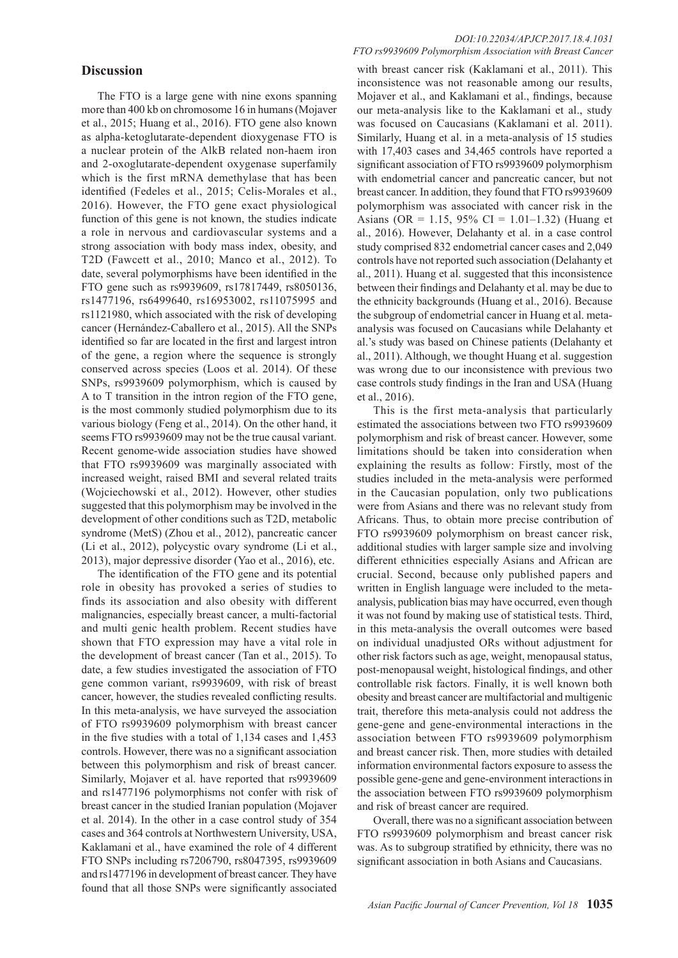# **Discussion**

The FTO is a large gene with nine exons spanning more than 400 kb on chromosome 16 in humans (Mojaver et al., 2015; Huang et al., 2016). FTO gene also known as alpha-ketoglutarate-dependent dioxygenase FTO is a nuclear protein of the AlkB related non-haem iron and 2-oxoglutarate-dependent oxygenase superfamily which is the first mRNA demethylase that has been identified (Fedeles et al., 2015; Celis-Morales et al., 2016). However, the FTO gene exact physiological function of this gene is not known, the studies indicate a role in nervous and cardiovascular systems and a strong association with body mass index, obesity, and T2D (Fawcett et al., 2010; Manco et al., 2012). To date, several polymorphisms have been identified in the FTO gene such as rs9939609, rs17817449, rs8050136, rs1477196, rs6499640, rs16953002, rs11075995 and rs1121980, which associated with the risk of developing cancer (Hernández-Caballero et al., 2015). All the SNPs identified so far are located in the first and largest intron of the gene, a region where the sequence is strongly conserved across species (Loos et al. 2014). Of these SNPs, rs9939609 polymorphism, which is caused by A to T transition in the intron region of the FTO gene, is the most commonly studied polymorphism due to its various biology (Feng et al., 2014). On the other hand, it seems FTO rs9939609 may not be the true causal variant. Recent genome-wide association studies have showed that FTO rs9939609 was marginally associated with increased weight, raised BMI and several related traits (Wojciechowski et al., 2012). However, other studies suggested that this polymorphism may be involved in the development of other conditions such as T2D, metabolic syndrome (MetS) (Zhou et al., 2012), pancreatic cancer (Li et al., 2012), polycystic ovary syndrome (Li et al., 2013), major depressive disorder (Yao et al., 2016), etc.

The identification of the FTO gene and its potential role in obesity has provoked a series of studies to finds its association and also obesity with different malignancies, especially breast cancer, a multi-factorial and multi genic health problem. Recent studies have shown that FTO expression may have a vital role in the development of breast cancer (Tan et al., 2015). To date, a few studies investigated the association of FTO gene common variant, rs9939609, with risk of breast cancer, however, the studies revealed conflicting results. In this meta-analysis, we have surveyed the association of FTO rs9939609 polymorphism with breast cancer in the five studies with a total of 1,134 cases and 1,453 controls. However, there was no a significant association between this polymorphism and risk of breast cancer. Similarly, Mojaver et al. have reported that rs9939609 and rs1477196 polymorphisms not confer with risk of breast cancer in the studied Iranian population (Mojaver et al. 2014). In the other in a case control study of 354 cases and 364 controls at Northwestern University, USA, Kaklamani et al., have examined the role of 4 different FTO SNPs including rs7206790, rs8047395, rs9939609 and rs1477196 in development of breast cancer. They have found that all those SNPs were significantly associated

#### *DOI:10.22034/APJCP.2017.18.4.1031 FTO rs9939609 Polymorphism Association with Breast Cancer*

with breast cancer risk (Kaklamani et al., 2011). This inconsistence was not reasonable among our results, Mojaver et al., and Kaklamani et al., findings, because our meta-analysis like to the Kaklamani et al., study was focused on Caucasians (Kaklamani et al. 2011). Similarly, Huang et al. in a meta-analysis of 15 studies with 17,403 cases and 34,465 controls have reported a significant association of FTO rs9939609 polymorphism with endometrial cancer and pancreatic cancer, but not breast cancer. In addition, they found that FTO rs9939609 polymorphism was associated with cancer risk in the Asians (OR = 1.15, 95% CI = 1.01–1.32) (Huang et al., 2016). However, Delahanty et al. in a case control study comprised 832 endometrial cancer cases and 2,049 controls have not reported such association (Delahanty et al., 2011). Huang et al. suggested that this inconsistence between their findings and Delahanty et al. may be due to the ethnicity backgrounds (Huang et al., 2016). Because the subgroup of endometrial cancer in Huang et al. metaanalysis was focused on Caucasians while Delahanty et al.'s study was based on Chinese patients (Delahanty et al., 2011). Although, we thought Huang et al. suggestion was wrong due to our inconsistence with previous two case controls study findings in the Iran and USA (Huang et al., 2016).

This is the first meta-analysis that particularly estimated the associations between two FTO rs9939609 polymorphism and risk of breast cancer. However, some limitations should be taken into consideration when explaining the results as follow: Firstly, most of the studies included in the meta-analysis were performed in the Caucasian population, only two publications were from Asians and there was no relevant study from Africans. Thus, to obtain more precise contribution of FTO rs9939609 polymorphism on breast cancer risk, additional studies with larger sample size and involving different ethnicities especially Asians and African are crucial. Second, because only published papers and written in English language were included to the metaanalysis, publication bias may have occurred, even though it was not found by making use of statistical tests. Third, in this meta-analysis the overall outcomes were based on individual unadjusted ORs without adjustment for other risk factors such as age, weight, menopausal status, post-menopausal weight, histological findings, and other controllable risk factors. Finally, it is well known both obesity and breast cancer are multifactorial and multigenic trait, therefore this meta-analysis could not address the gene-gene and gene-environmental interactions in the association between FTO rs9939609 polymorphism and breast cancer risk. Then, more studies with detailed information environmental factors exposure to assess the possible gene-gene and gene-environment interactions in the association between FTO rs9939609 polymorphism and risk of breast cancer are required.

Overall, there was no a significant association between FTO rs9939609 polymorphism and breast cancer risk was. As to subgroup stratified by ethnicity, there was no significant association in both Asians and Caucasians.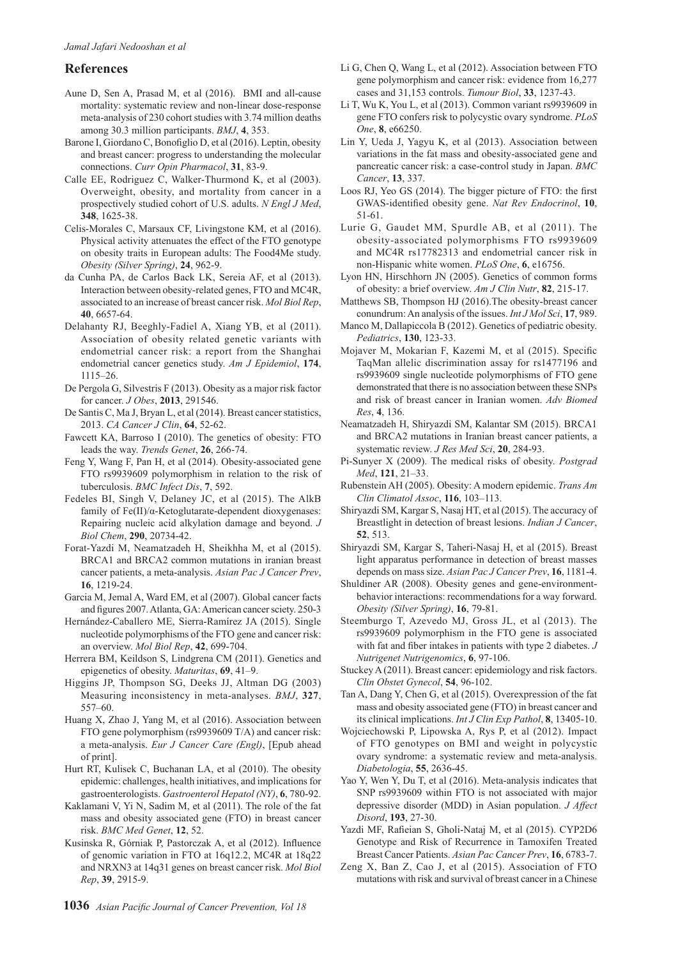## **References**

- Aune D, Sen A, Prasad M, et al (2016). BMI and all-cause mortality: systematic review and non-linear dose-response meta-analysis of 230 cohort studies with 3.74 million deaths among 30.3 million participants. *BMJ*, **4**, 353.
- Barone I, Giordano C, Bonofiglio D, et al (2016). Leptin, obesity and breast cancer: progress to understanding the molecular connections. *Curr Opin Pharmacol*, **31**, 83-9.
- Calle EE, Rodriguez C, Walker-Thurmond K, et al (2003). Overweight, obesity, and mortality from cancer in a prospectively studied cohort of U.S. adults. *N Engl J Med*, **348**, 1625-38.
- Celis-Morales C, Marsaux CF, Livingstone KM, et al (2016). Physical activity attenuates the effect of the FTO genotype on obesity traits in European adults: The Food4Me study. *Obesity (Silver Spring)*, **24**, 962-9.
- da Cunha PA, de Carlos Back LK, Sereia AF, et al (2013). Interaction between obesity-related genes, FTO and MC4R, associated to an increase of breast cancer risk. *Mol Biol Rep*, **40**, 6657-64.
- Delahanty RJ, Beeghly-Fadiel A, Xiang YB, et al (2011). Association of obesity related genetic variants with endometrial cancer risk: a report from the Shanghai endometrial cancer genetics study. *Am J Epidemiol*, **174**, 1115–26.
- De Pergola G, Silvestris F (2013). Obesity as a major risk factor for cancer. *J Obes*, **2013**, 291546.
- De Santis C, Ma J, Bryan L, et al (2014). Breast cancer statistics, 2013. *CA Cancer J Clin*, **64**, 52-62.
- Fawcett KA, Barroso I (2010). The genetics of obesity: FTO leads the way. *Trends Genet*, **26**, 266-74.
- Feng Y, Wang F, Pan H, et al (2014). Obesity-associated gene FTO rs9939609 polymorphism in relation to the risk of tuberculosis. *BMC Infect Dis*, **7**, 592.
- Fedeles BI, Singh V, Delaney JC, et al (2015). The AlkB family of Fe(II)/α-Ketoglutarate-dependent dioxygenases: Repairing nucleic acid alkylation damage and beyond. *J Biol Chem*, **290**, 20734-42.
- Forat-Yazdi M, Neamatzadeh H, Sheikhha M, et al (2015). BRCA1 and BRCA2 common mutations in iranian breast cancer patients, a meta-analysis. *Asian Pac J Cancer Prev*, **16**, 1219-24.
- Garcia M, Jemal A, Ward EM, et al (2007). Global cancer facts and figures 2007. Atlanta, GA: American cancer sciety. 250-3
- Hernández-Caballero ME, Sierra-Ramírez JA (2015). Single nucleotide polymorphisms of the FTO gene and cancer risk: an overview. *Mol Biol Rep*, **42**, 699-704.
- Herrera BM, Keildson S, Lindgrena CM (2011). Genetics and epigenetics of obesity. *Maturitas*, **69**, 41–9.
- Higgins JP, Thompson SG, Deeks JJ, Altman DG (2003) Measuring inconsistency in meta-analyses. *BMJ*, **327**, 557–60.
- Huang X, Zhao J, Yang M, et al (2016). Association between FTO gene polymorphism (rs9939609 T/A) and cancer risk: a meta-analysis. *Eur J Cancer Care (Engl)*, [Epub ahead of print].
- Hurt RT, Kulisek C, Buchanan LA, et al (2010). The obesity epidemic: challenges, health initiatives, and implications for gastroenterologists. *Gastroenterol Hepatol (NY)*, **6**, 780-92.
- Kaklamani V, Yi N, Sadim M, et al (2011). The role of the fat mass and obesity associated gene (FTO) in breast cancer risk. *BMC Med Genet*, **12**, 52.
- Kusinska R, Górniak P, Pastorczak A, et al (2012). Influence of genomic variation in FTO at 16q12.2, MC4R at 18q22 and NRXN3 at 14q31 genes on breast cancer risk. *Mol Biol Rep*, **39**, 2915-9.
- Li G, Chen Q, Wang L, et al (2012). Association between FTO gene polymorphism and cancer risk: evidence from 16,277 cases and 31,153 controls. *Tumour Biol*, **33**, 1237-43.
- Li T, Wu K, You L, et al (2013). Common variant rs9939609 in gene FTO confers risk to polycystic ovary syndrome. *PLoS One*, **8**, e66250.
- Lin Y, Ueda J, Yagyu K, et al (2013). Association between variations in the fat mass and obesity-associated gene and pancreatic cancer risk: a case-control study in Japan. *BMC Cancer*, **13**, 337.
- Loos RJ, Yeo GS (2014). The bigger picture of FTO: the first GWAS-identified obesity gene. *Nat Rev Endocrinol*, **10**, 51-61.
- Lurie G, Gaudet MM, Spurdle AB, et al (2011). The obesity-associated polymorphisms FTO rs9939609 and MC4R rs17782313 and endometrial cancer risk in non-Hispanic white women. *PLoS One*, **6**, e16756.
- Lyon HN, Hirschhorn JN (2005). Genetics of common forms of obesity: a brief overview. *Am J Clin Nutr*, **82**, 215-17.
- Matthews SB, Thompson HJ (2016).The obesity-breast cancer conundrum: An analysis of the issues. *Int J Mol Sci*, **17**, 989.
- Manco M, Dallapiccola B (2012). Genetics of pediatric obesity. *Pediatrics*, **130**, 123-33.
- Mojaver M, Mokarian F, Kazemi M, et al (2015). Specific TaqMan allelic discrimination assay for rs1477196 and rs9939609 single nucleotide polymorphisms of FTO gene demonstrated that there is no association between these SNPs and risk of breast cancer in Iranian women. *Adv Biomed Res*, **4**, 136.
- Neamatzadeh H, Shiryazdi SM, Kalantar SM (2015). BRCA1 and BRCA2 mutations in Iranian breast cancer patients, a systematic review. *J Res Med Sci*, **20**, 284-93.
- Pi-Sunyer X (2009). The medical risks of obesity. *Postgrad Med*, **121**, 21–33.
- Rubenstein AH (2005). Obesity: A modern epidemic. *Trans Am Clin Climatol Assoc*, **116**, 103–113.
- Shiryazdi SM, Kargar S, Nasaj HT, et al (2015). The accuracy of Breastlight in detection of breast lesions. *Indian J Cancer*, **52**, 513.
- Shiryazdi SM, Kargar S, Taheri-Nasaj H, et al (2015). Breast light apparatus performance in detection of breast masses depends on mass size. *Asian Pac J Cancer Prev*, **16**, 1181-4.
- Shuldiner AR (2008). Obesity genes and gene-environmentbehavior interactions: recommendations for a way forward. *Obesity (Silver Spring)*, **16**, 79-81.
- Steemburgo T, Azevedo MJ, Gross JL, et al (2013). The rs9939609 polymorphism in the FTO gene is associated with fat and fiber intakes in patients with type 2 diabetes. *J Nutrigenet Nutrigenomics*, **6**, 97-106.
- Stuckey A (2011). Breast cancer: epidemiology and risk factors. *Clin Obstet Gynecol*, **54**, 96-102.
- Tan A, Dang Y, Chen G, et al (2015). Overexpression of the fat mass and obesity associated gene (FTO) in breast cancer and its clinical implications. *Int J Clin Exp Pathol*, **8**, 13405-10.
- Wojciechowski P, Lipowska A, Rys P, et al (2012). Impact of FTO genotypes on BMI and weight in polycystic ovary syndrome: a systematic review and meta-analysis. *Diabetologia*, **55**, 2636-45.
- Yao Y, Wen Y, Du T, et al (2016). Meta-analysis indicates that SNP rs9939609 within FTO is not associated with major depressive disorder (MDD) in Asian population. *J Affect Disord*, **193**, 27-30.
- Yazdi MF, Rafieian S, Gholi-Nataj M, et al (2015). CYP2D6 Genotype and Risk of Recurrence in Tamoxifen Treated Breast Cancer Patients. *Asian Pac Cancer Prev*, **16**, 6783-7.
- Zeng X, Ban Z, Cao J, et al (2015). Association of FTO mutations with risk and survival of breast cancer in a Chinese